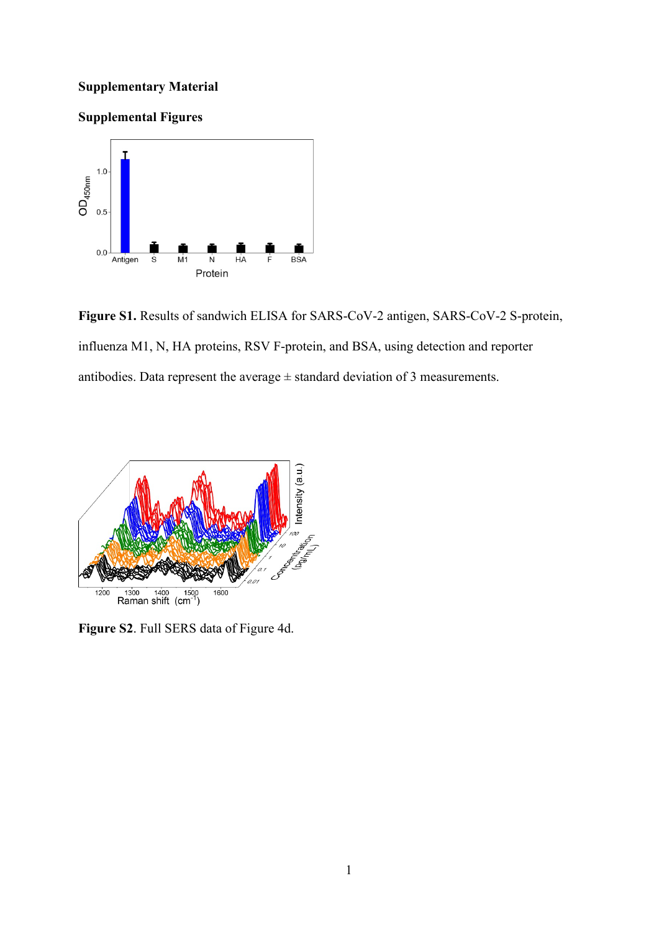## **Supplementary Material**

## **Supplemental Figures**



**Figure S1.** Results of sandwich ELISA for SARS-CoV-2 antigen, SARS-CoV-2 S-protein, influenza M1, N, HA proteins, RSV F-protein, and BSA, using detection and reporter antibodies. Data represent the average  $\pm$  standard deviation of 3 measurements.



**Figure S2**. Full SERS data of Figure 4d.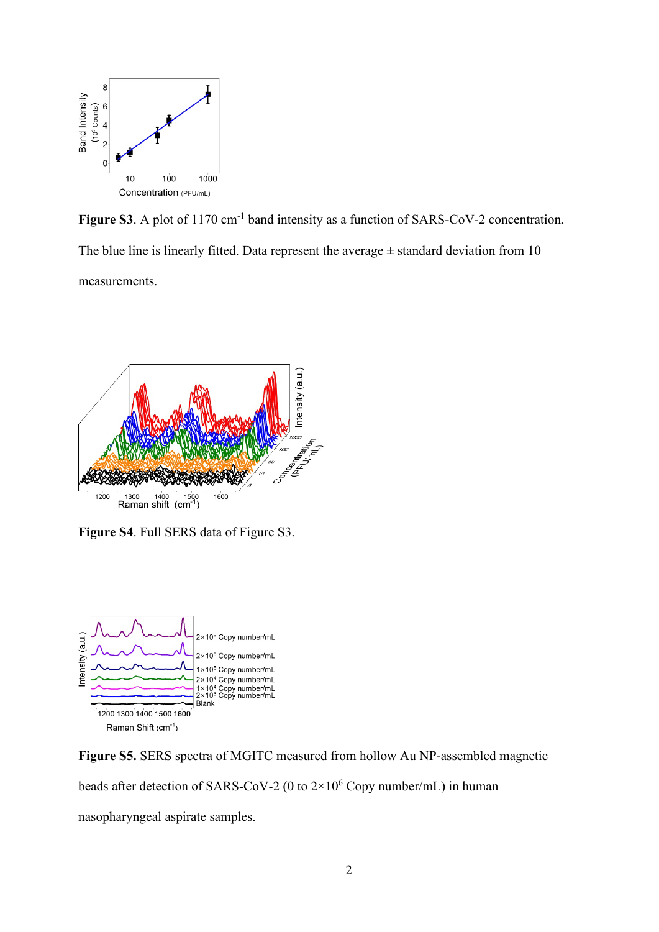

Figure S3. A plot of 1170 cm<sup>-1</sup> band intensity as a function of SARS-CoV-2 concentration. The blue line is linearly fitted. Data represent the average  $\pm$  standard deviation from 10 measurements.



**Figure S4**. Full SERS data of Figure S3.



**Figure S5.** SERS spectra of MGITC measured from hollow Au NP-assembled magnetic beads after detection of SARS-CoV-2 (0 to 2×106 Copy number/mL) in human nasopharyngeal aspirate samples.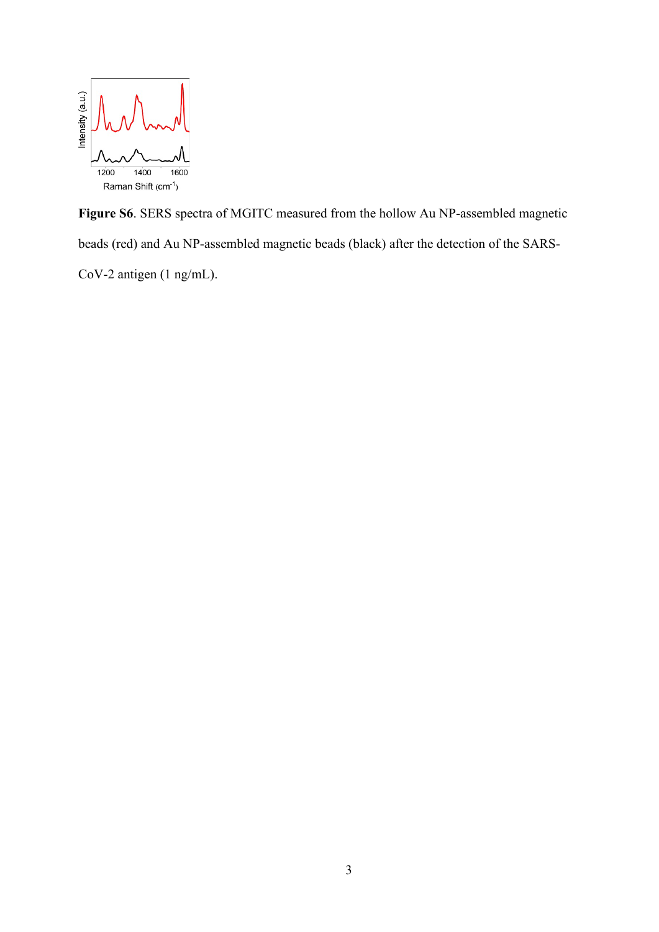

**Figure S6**. SERS spectra of MGITC measured from the hollow Au NP-assembled magnetic beads (red) and Au NP-assembled magnetic beads (black) after the detection of the SARS-CoV-2 antigen (1 ng/mL).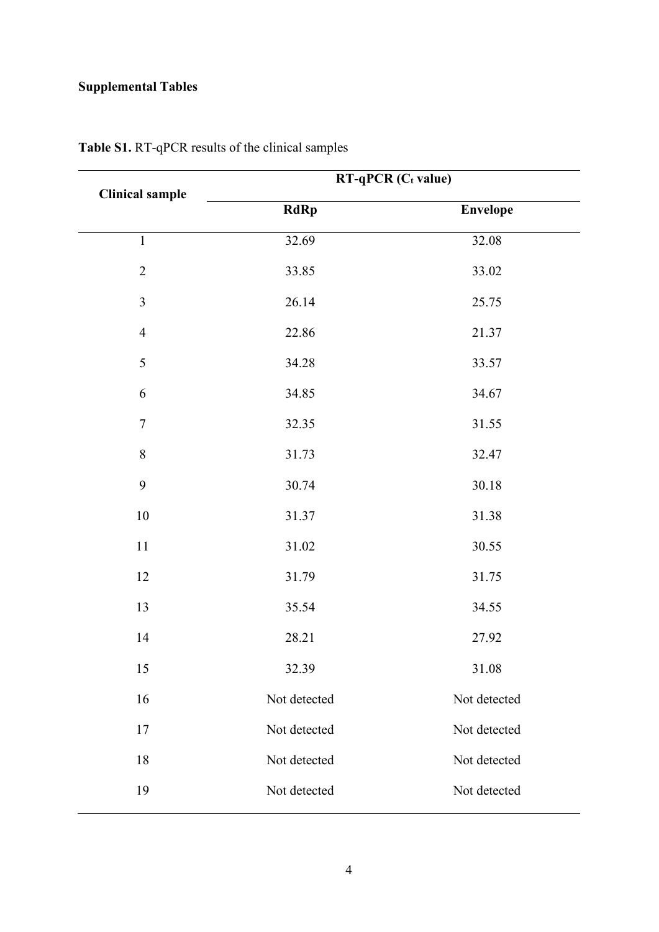## **Supplemental Tables**

| <b>Clinical sample</b> | RT-qPCR (Ct value) |                 |  |
|------------------------|--------------------|-----------------|--|
|                        | <b>RdRp</b>        | <b>Envelope</b> |  |
| $\mathbf{1}$           | 32.69              | 32.08           |  |
| $\overline{2}$         | 33.85              | 33.02           |  |
| $\overline{3}$         | 26.14              | 25.75           |  |
| $\overline{4}$         | 22.86              | 21.37           |  |
| 5                      | 34.28              | 33.57           |  |
| 6                      | 34.85              | 34.67           |  |
| $\boldsymbol{7}$       | 32.35              | 31.55           |  |
| 8                      | 31.73              | 32.47           |  |
| 9                      | 30.74              | 30.18           |  |
| $10\,$                 | 31.37              | 31.38           |  |
| $11\,$                 | 31.02              | 30.55           |  |
| 12                     | 31.79              | 31.75           |  |
| 13                     | 35.54              | 34.55           |  |
| $14$                   | 28.21              | 27.92           |  |
| 15                     | 32.39              | 31.08           |  |
| 16                     | Not detected       | Not detected    |  |
| 17                     | Not detected       | Not detected    |  |
| 18                     | Not detected       | Not detected    |  |
| 19                     | Not detected       | Not detected    |  |

**Table S1.** RT-qPCR results of the clinical samples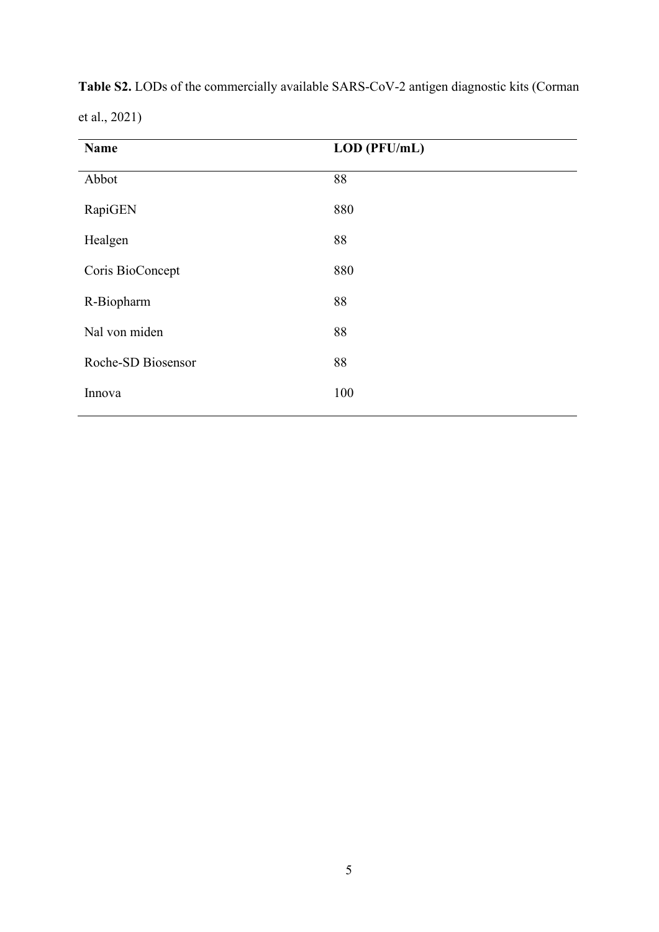| Name               | LOD (PFU/mL) |
|--------------------|--------------|
| Abbot              | 88           |
| RapiGEN            | 880          |
| Healgen            | 88           |
| Coris BioConcept   | 880          |
| R-Biopharm         | 88           |
| Nal von miden      | 88           |
| Roche-SD Biosensor | 88           |
| Innova             | 100          |
|                    |              |

**Table S2.** LODs of the commercially available SARS-CoV-2 antigen diagnostic kits (Corman et al., 2021)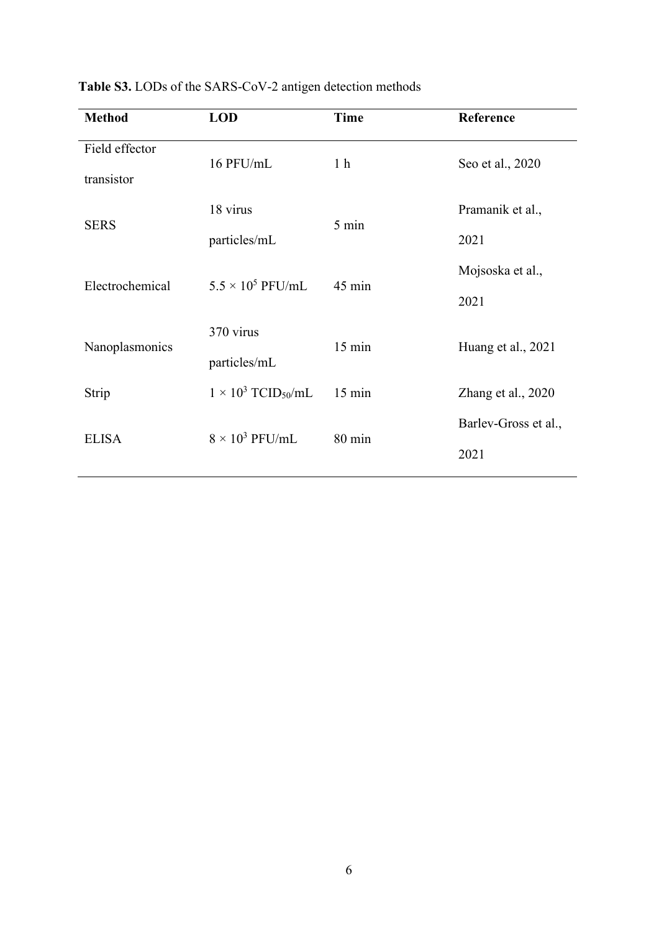| <b>Method</b>                | <b>LOD</b>                             | <b>Time</b>      | Reference                    |
|------------------------------|----------------------------------------|------------------|------------------------------|
| Field effector<br>transistor | 16 PFU/mL                              | 1 <sub>h</sub>   | Seo et al., 2020             |
| <b>SERS</b>                  | 18 virus<br>particles/mL               | 5 min            | Pramanik et al.,<br>2021     |
| Electrochemical              | $5.5 \times 10^5$ PFU/mL               | 45 min           | Mojsoska et al.,<br>2021     |
| Nanoplasmonics               | 370 virus<br>particles/mL              | $15 \text{ min}$ | Huang et al., 2021           |
| Strip                        | $1 \times 10^3$ TCID <sub>50</sub> /mL | $15 \text{ min}$ | Zhang et al., 2020           |
| <b>ELISA</b>                 | $8 \times 10^3$ PFU/mL                 | $80 \text{ min}$ | Barlev-Gross et al.,<br>2021 |

**Table S3.** LODs of the SARS-CoV-2 antigen detection methods